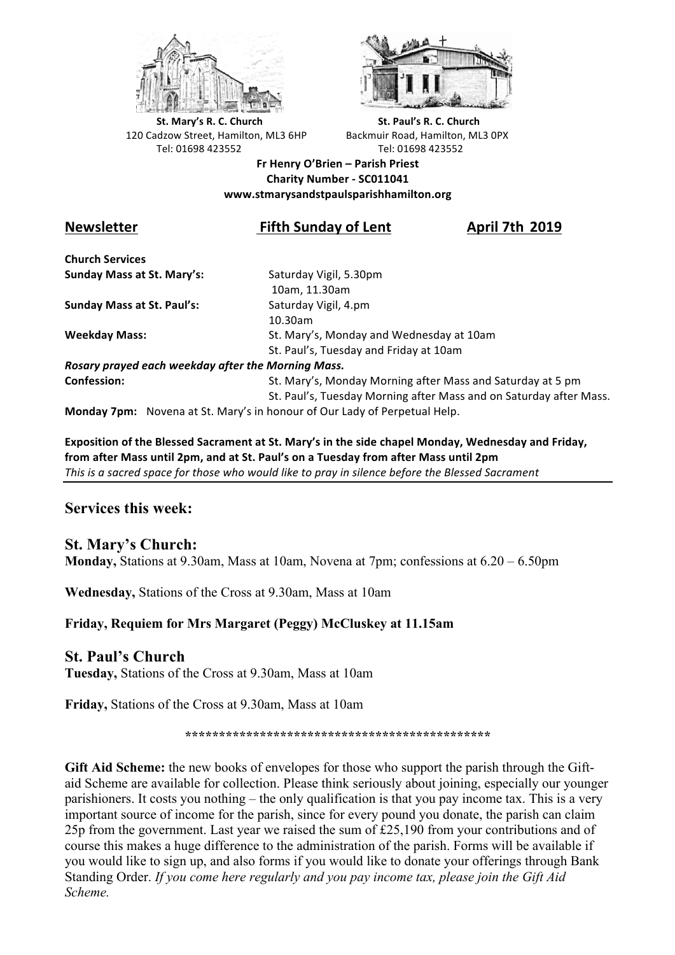



**St.** Mary's R. C. Church St. Paul's R. C. Church 120 Cadzow Street, Hamilton, ML3 6HP Backmuir Road, Hamilton, ML3 0PX Tel: 01698 423552 Tel: 01698 423552

#### **Fr Henry O'Brien – Parish Priest Charity Number - SC011041 www.stmarysandstpaulsparishhamilton.org**

# **Newsletter Fifth Sunday of Lent April 7th 2019**

**Church Services Sunday Mass at St. Mary's:** Saturday Vigil, 5.30pm

**Sunday Mass at St. Paul's:** Saturday Vigil, 4.pm

 10am, 11.30am 10.30am **Weekday Mass:** St. Mary's, Monday and Wednesday at 10am St. Paul's, Tuesday and Friday at 10am

*Rosary prayed each weekday after the Morning Mass.* **Confession:** St. Mary's, Monday Morning after Mass and Saturday at 5 pm

St. Paul's, Tuesday Morning after Mass and on Saturday after Mass.

**Monday 7pm:** Novena at St. Mary's in honour of Our Lady of Perpetual Help.

**Exposition of the Blessed Sacrament at St. Mary's in the side chapel Monday, Wednesday and Friday,** from after Mass until 2pm, and at St. Paul's on a Tuesday from after Mass until 2pm This is a sacred space for those who would like to pray in silence before the Blessed Sacrament

# **Services this week:**

# **St. Mary's Church:**

**Monday,** Stations at 9.30am, Mass at 10am, Novena at 7pm; confessions at 6.20 – 6.50pm

**Wednesday,** Stations of the Cross at 9.30am, Mass at 10am

#### **Friday, Requiem for Mrs Margaret (Peggy) McCluskey at 11.15am**

#### **St. Paul's Church**

**Tuesday,** Stations of the Cross at 9.30am, Mass at 10am

**Friday,** Stations of the Cross at 9.30am, Mass at 10am

**\*\*\*\*\*\*\*\*\*\*\*\*\*\*\*\*\*\*\*\*\*\*\*\*\*\*\*\*\*\*\*\*\*\*\*\*\*\*\*\*\*\*\*\*\***

**Gift Aid Scheme:** the new books of envelopes for those who support the parish through the Giftaid Scheme are available for collection. Please think seriously about joining, especially our younger parishioners. It costs you nothing – the only qualification is that you pay income tax. This is a very important source of income for the parish, since for every pound you donate, the parish can claim 25p from the government. Last year we raised the sum of £25,190 from your contributions and of course this makes a huge difference to the administration of the parish. Forms will be available if you would like to sign up, and also forms if you would like to donate your offerings through Bank Standing Order. *If you come here regularly and you pay income tax, please join the Gift Aid Scheme.*